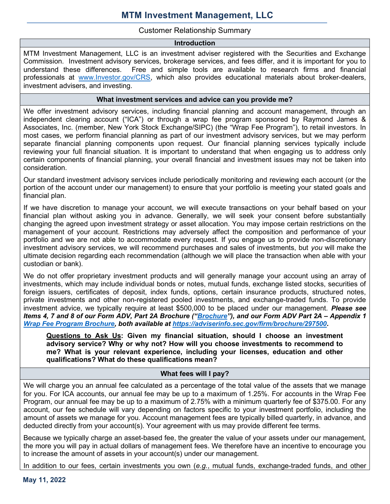# Customer Relationship Summary

#### Introduction

MTM Investment Management, LLC is an investment adviser registered with the Securities and Exchange Commission. Investment advisory services, brokerage services, and fees differ, and it is important for you to understand these differences. Free and simple tools are available to research firms and financial professionals at www.Investor.gov/CRS, which also provides educational materials about broker-dealers, investment advisers, and investing.

#### What investment services and advice can you provide me?

We offer investment advisory services, including financial planning and account management, through an independent clearing account ("ICA") or through a wrap fee program sponsored by Raymond James & Associates, Inc. (member, New York Stock Exchange/SIPC) (the "Wrap Fee Program"), to retail investors. In most cases, we perform financial planning as part of our investment advisory services, but we may perform separate financial planning components upon request. Our financial planning services typically include reviewing your full financial situation. It is important to understand that when engaging us to address only certain components of financial planning, your overall financial and investment issues may not be taken into consideration.

Our standard investment advisory services include periodically monitoring and reviewing each account (or the portion of the account under our management) to ensure that your portfolio is meeting your stated goals and financial plan.

If we have discretion to manage your account, we will execute transactions on your behalf based on your financial plan without asking you in advance. Generally, we will seek your consent before substantially changing the agreed upon investment strategy or asset allocation. You may impose certain restrictions on the management of your account. Restrictions may adversely affect the composition and performance of your portfolio and we are not able to accommodate every request. If you engage us to provide non-discretionary investment advisory services, we will recommend purchases and sales of investments, but you will make the ultimate decision regarding each recommendation (although we will place the transaction when able with your custodian or bank).

We do not offer proprietary investment products and will generally manage your account using an array of investments, which may include individual bonds or notes, mutual funds, exchange listed stocks, securities of foreign issuers, certificates of deposit, index funds, options, certain insurance products, structured notes, private investments and other non-registered pooled investments, and exchange-traded funds. To provide investment advice, we typically require at least \$500,000 to be placed under our management. Please see Items 4, 7 and 8 of our Form ADV, Part 2A Brochure ("<mark>Brochure</mark>"), and our Form ADV Part 2A – Appendix 1 Wrap Fee Program Brochure, both available at https://adviserinfo.sec.gov/firm/brochure/297500.

Questions to Ask Us: Given my financial situation, should I choose an investment advisory service? Why or why not? How will you choose investments to recommend to me? What is your relevant experience, including your licenses, education and other qualifications? What do these qualifications mean?

# What fees will I pay?

We will charge you an annual fee calculated as a percentage of the total value of the assets that we manage for you. For ICA accounts, our annual fee may be up to a maximum of 1.25%. For accounts in the Wrap Fee Program, our annual fee may be up to a maximum of 2.75% with a minimum quarterly fee of \$375.00. For any account, our fee schedule will vary depending on factors specific to your investment portfolio, including the amount of assets we manage for you. Account management fees are typically billed quarterly, in advance, and deducted directly from your account(s). Your agreement with us may provide different fee terms.

Because we typically charge an asset-based fee, the greater the value of your assets under our management, the more you will pay in actual dollars of management fees. We therefore have an incentive to encourage you to increase the amount of assets in your account(s) under our management.

In addition to our fees, certain investments you own (e.g., mutual funds, exchange-traded funds, and other